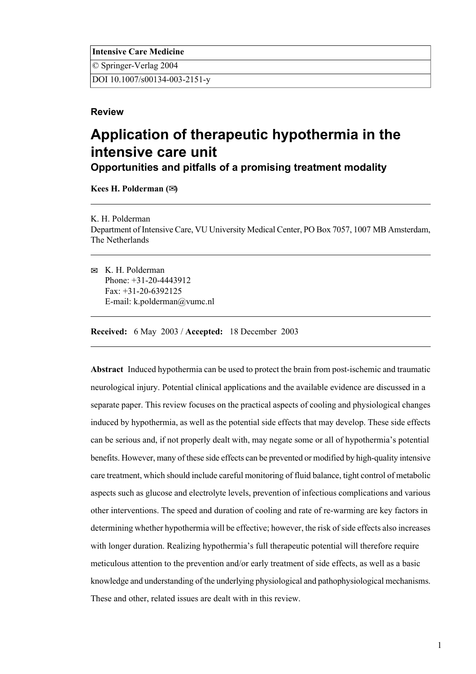#### **Intensive Care Medicine**

© Springer-Verlag 2004

DOI 10.1007/s00134-003-2151-y

#### **Review**

# **Application of therapeutic hypothermia in the intensive care unit**

**Opportunities and pitfalls of a promising treatment modality**

**Kees H. Polderman (**✉**)**

#### K. H. Polderman

Department of Intensive Care, VU University Medical Center, PO Box 7057, 1007 MB Amsterdam, The Netherlands

 $\mathbb{R}$  K. H. Polderman Phone: +31-20-4443912 Fax: +31-20-6392125 E-mail: k.polderman@vumc.nl

**Received:**  6 May 2003 / **Accepted:**  18 December 2003

**Abstract** Induced hypothermia can be used to protect the brain from post-ischemic and traumatic neurological injury. Potential clinical applications and the available evidence are discussed in a separate paper. This review focuses on the practical aspects of cooling and physiological changes induced by hypothermia, as well as the potential side effects that may develop. These side effects can be serious and, if not properly dealt with, may negate some or all of hypothermia's potential benefits. However, many of these side effects can be prevented or modified by high-quality intensive care treatment, which should include careful monitoring of fluid balance, tight control of metabolic aspects such as glucose and electrolyte levels, prevention of infectious complications and various other interventions. The speed and duration of cooling and rate of re-warming are key factors in determining whether hypothermia will be effective; however, the risk of side effects also increases with longer duration. Realizing hypothermia's full therapeutic potential will therefore require meticulous attention to the prevention and/or early treatment of side effects, as well as a basic knowledge and understanding of the underlying physiological and pathophysiological mechanisms. These and other, related issues are dealt with in this review.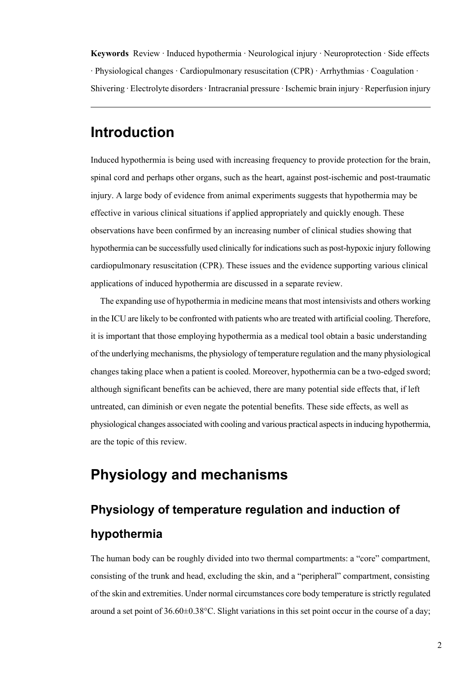**Keywords** Review · Induced hypothermia · Neurological injury · Neuroprotection · Side effects · Physiological changes · Cardiopulmonary resuscitation (CPR) · Arrhythmias · Coagulation · Shivering · Electrolyte disorders · Intracranial pressure · Ischemic brain injury · Reperfusion injury

# **Introduction**

Induced hypothermia is being used with increasing frequency to provide protection for the brain, spinal cord and perhaps other organs, such as the heart, against post-ischemic and post-traumatic injury. A large body of evidence from animal experiments suggests that hypothermia may be effective in various clinical situations if applied appropriately and quickly enough. These observations have been confirmed by an increasing number of clinical studies showing that hypothermia can be successfully used clinically for indications such as post-hypoxic injury following cardiopulmonary resuscitation (CPR). These issues and the evidence supporting various clinical applications of induced hypothermia are discussed in a separate review.

The expanding use of hypothermia in medicine means that most intensivists and others working in the ICU are likely to be confronted with patients who are treated with artificial cooling. Therefore, it is important that those employing hypothermia as a medical tool obtain a basic understanding of the underlying mechanisms, the physiology of temperature regulation and the many physiological changes taking place when a patient is cooled. Moreover, hypothermia can be a two-edged sword; although significant benefits can be achieved, there are many potential side effects that, if left untreated, can diminish or even negate the potential benefits. These side effects, as well as physiological changes associated with cooling and various practical aspects in inducing hypothermia, are the topic of this review.

# **Physiology and mechanisms**

# **Physiology of temperature regulation and induction of hypothermia**

The human body can be roughly divided into two thermal compartments: a "core" compartment, consisting of the trunk and head, excluding the skin, and a "peripheral" compartment, consisting of the skin and extremities. Under normal circumstances core body temperature is strictly regulated around a set point of 36.60±0.38°C. Slight variations in this set point occur in the course of a day;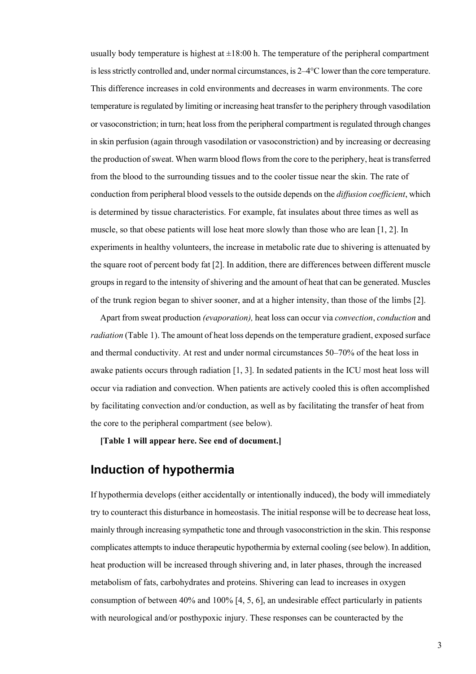usually body temperature is highest at  $\pm 18:00$  h. The temperature of the peripheral compartment is less strictly controlled and, under normal circumstances, is 2–4°C lower than the core temperature. This difference increases in cold environments and decreases in warm environments. The core temperature is regulated by limiting or increasing heat transfer to the periphery through vasodilation or vasoconstriction; in turn; heat loss from the peripheral compartment is regulated through changes in skin perfusion (again through vasodilation or vasoconstriction) and by increasing or decreasing the production of sweat. When warm blood flows from the core to the periphery, heat is transferred from the blood to the surrounding tissues and to the cooler tissue near the skin. The rate of conduction from peripheral blood vessels to the outside depends on the *diffusion coefficient*, which is determined by tissue characteristics. For example, fat insulates about three times as well as muscle, so that obese patients will lose heat more slowly than those who are lean [1, 2]. In experiments in healthy volunteers, the increase in metabolic rate due to shivering is attenuated by the square root of percent body fat [2]. In addition, there are differences between different muscle groups in regard to the intensity of shivering and the amount of heat that can be generated. Muscles of the trunk region began to shiver sooner, and at a higher intensity, than those of the limbs [2].

Apart from sweat production *(evaporation),* heat loss can occur via *convection*, *conduction* and *radiation* (Table 1). The amount of heat loss depends on the temperature gradient, exposed surface and thermal conductivity. At rest and under normal circumstances 50–70% of the heat loss in awake patients occurs through radiation [1, 3]. In sedated patients in the ICU most heat loss will occur via radiation and convection. When patients are actively cooled this is often accomplished by facilitating convection and/or conduction, as well as by facilitating the transfer of heat from the core to the peripheral compartment (see below).

**[Table 1 will appear here. See end of document.]**

### **Induction of hypothermia**

If hypothermia develops (either accidentally or intentionally induced), the body will immediately try to counteract this disturbance in homeostasis. The initial response will be to decrease heat loss, mainly through increasing sympathetic tone and through vasoconstriction in the skin. This response complicates attempts to induce therapeutic hypothermia by external cooling (see below). In addition, heat production will be increased through shivering and, in later phases, through the increased metabolism of fats, carbohydrates and proteins. Shivering can lead to increases in oxygen consumption of between 40% and 100% [4, 5, 6], an undesirable effect particularly in patients with neurological and/or posthypoxic injury. These responses can be counteracted by the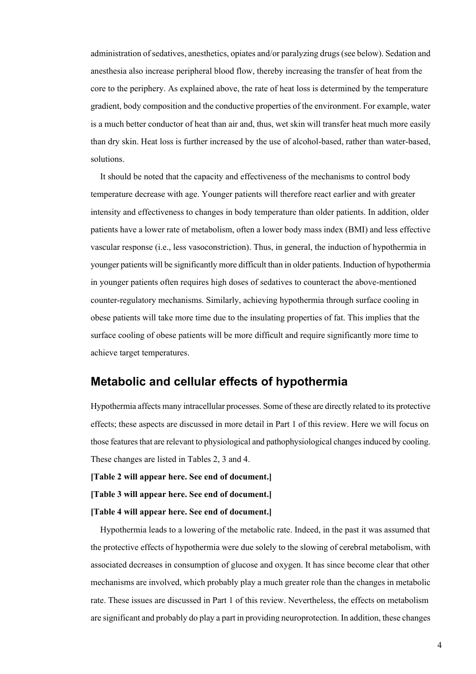administration of sedatives, anesthetics, opiates and/or paralyzing drugs (see below). Sedation and anesthesia also increase peripheral blood flow, thereby increasing the transfer of heat from the core to the periphery. As explained above, the rate of heat loss is determined by the temperature gradient, body composition and the conductive properties of the environment. For example, water is a much better conductor of heat than air and, thus, wet skin will transfer heat much more easily than dry skin. Heat loss is further increased by the use of alcohol-based, rather than water-based, solutions.

It should be noted that the capacity and effectiveness of the mechanisms to control body temperature decrease with age. Younger patients will therefore react earlier and with greater intensity and effectiveness to changes in body temperature than older patients. In addition, older patients have a lower rate of metabolism, often a lower body mass index (BMI) and less effective vascular response (i.e., less vasoconstriction). Thus, in general, the induction of hypothermia in younger patients will be significantly more difficult than in older patients. Induction of hypothermia in younger patients often requires high doses of sedatives to counteract the above-mentioned counter-regulatory mechanisms. Similarly, achieving hypothermia through surface cooling in obese patients will take more time due to the insulating properties of fat. This implies that the surface cooling of obese patients will be more difficult and require significantly more time to achieve target temperatures.

#### **Metabolic and cellular effects of hypothermia**

Hypothermia affects many intracellular processes. Some of these are directly related to its protective effects; these aspects are discussed in more detail in Part 1 of this review. Here we will focus on those features that are relevant to physiological and pathophysiological changes induced by cooling. These changes are listed in Tables 2, 3 and 4.

- **[Table 2 will appear here. See end of document.]**
- **[Table 3 will appear here. See end of document.]**

#### **[Table 4 will appear here. See end of document.]**

Hypothermia leads to a lowering of the metabolic rate. Indeed, in the past it was assumed that the protective effects of hypothermia were due solely to the slowing of cerebral metabolism, with associated decreases in consumption of glucose and oxygen. It has since become clear that other mechanisms are involved, which probably play a much greater role than the changes in metabolic rate. These issues are discussed in Part 1 of this review. Nevertheless, the effects on metabolism are significant and probably do play a part in providing neuroprotection. In addition, these changes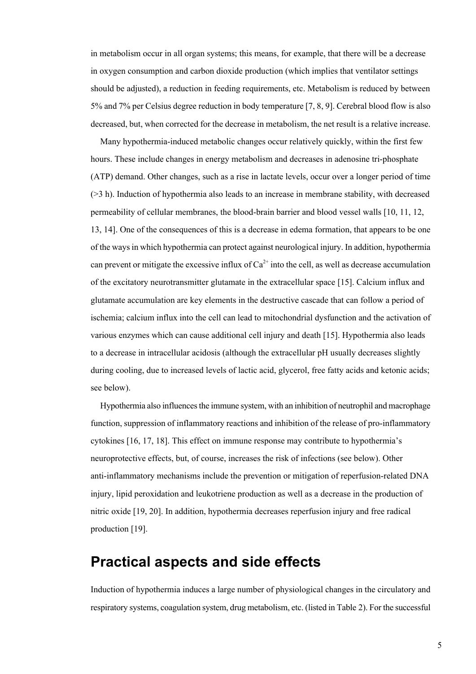in metabolism occur in all organ systems; this means, for example, that there will be a decrease in oxygen consumption and carbon dioxide production (which implies that ventilator settings should be adjusted), a reduction in feeding requirements, etc. Metabolism is reduced by between 5% and 7% per Celsius degree reduction in body temperature [7, 8, 9]. Cerebral blood flow is also decreased, but, when corrected for the decrease in metabolism, the net result is a relative increase.

Many hypothermia-induced metabolic changes occur relatively quickly, within the first few hours. These include changes in energy metabolism and decreases in adenosine tri-phosphate (ATP) demand. Other changes, such as a rise in lactate levels, occur over a longer period of time (>3 h). Induction of hypothermia also leads to an increase in membrane stability, with decreased permeability of cellular membranes, the blood-brain barrier and blood vessel walls [10, 11, 12, 13, 14]. One of the consequences of this is a decrease in edema formation, that appears to be one of the ways in which hypothermia can protect against neurological injury. In addition, hypothermia can prevent or mitigate the excessive influx of  $Ca^{2+}$  into the cell, as well as decrease accumulation of the excitatory neurotransmitter glutamate in the extracellular space [15]. Calcium influx and glutamate accumulation are key elements in the destructive cascade that can follow a period of ischemia; calcium influx into the cell can lead to mitochondrial dysfunction and the activation of various enzymes which can cause additional cell injury and death [15]. Hypothermia also leads to a decrease in intracellular acidosis (although the extracellular pH usually decreases slightly during cooling, due to increased levels of lactic acid, glycerol, free fatty acids and ketonic acids; see below).

Hypothermia also influences the immune system, with an inhibition of neutrophil and macrophage function, suppression of inflammatory reactions and inhibition of the release of pro-inflammatory cytokines [16, 17, 18]. This effect on immune response may contribute to hypothermia's neuroprotective effects, but, of course, increases the risk of infections (see below). Other anti-inflammatory mechanisms include the prevention or mitigation of reperfusion-related DNA injury, lipid peroxidation and leukotriene production as well as a decrease in the production of nitric oxide [19, 20]. In addition, hypothermia decreases reperfusion injury and free radical production [19].

# **Practical aspects and side effects**

Induction of hypothermia induces a large number of physiological changes in the circulatory and respiratory systems, coagulation system, drug metabolism, etc. (listed in Table 2). For the successful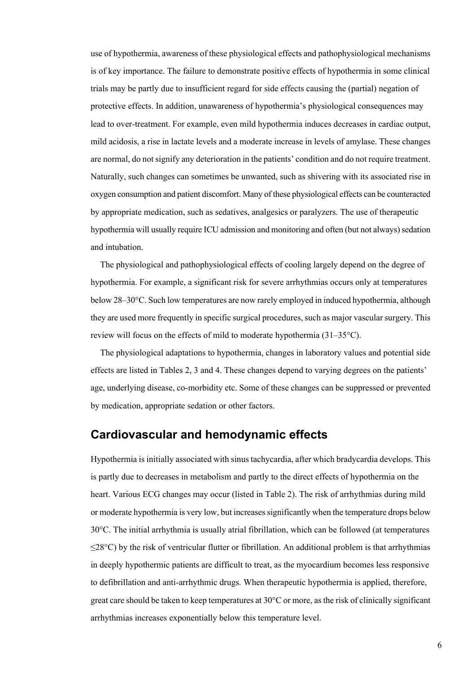use of hypothermia, awareness of these physiological effects and pathophysiological mechanisms is of key importance. The failure to demonstrate positive effects of hypothermia in some clinical trials may be partly due to insufficient regard for side effects causing the (partial) negation of protective effects. In addition, unawareness of hypothermia's physiological consequences may lead to over-treatment. For example, even mild hypothermia induces decreases in cardiac output, mild acidosis, a rise in lactate levels and a moderate increase in levels of amylase. These changes are normal, do not signify any deterioration in the patients' condition and do not require treatment. Naturally, such changes can sometimes be unwanted, such as shivering with its associated rise in oxygen consumption and patient discomfort. Many of these physiological effects can be counteracted by appropriate medication, such as sedatives, analgesics or paralyzers. The use of therapeutic hypothermia will usually require ICU admission and monitoring and often (but not always) sedation and intubation.

The physiological and pathophysiological effects of cooling largely depend on the degree of hypothermia. For example, a significant risk for severe arrhythmias occurs only at temperatures below 28–30°C. Such low temperatures are now rarely employed in induced hypothermia, although they are used more frequently in specific surgical procedures, such as major vascular surgery. This review will focus on the effects of mild to moderate hypothermia (31–35°C).

The physiological adaptations to hypothermia, changes in laboratory values and potential side effects are listed in Tables 2, 3 and 4. These changes depend to varying degrees on the patients' age, underlying disease, co-morbidity etc. Some of these changes can be suppressed or prevented by medication, appropriate sedation or other factors.

#### **Cardiovascular and hemodynamic effects**

Hypothermia is initially associated with sinus tachycardia, after which bradycardia develops. This is partly due to decreases in metabolism and partly to the direct effects of hypothermia on the heart. Various ECG changes may occur (listed in Table 2). The risk of arrhythmias during mild or moderate hypothermia is very low, but increases significantly when the temperature drops below 30°C. The initial arrhythmia is usually atrial fibrillation, which can be followed (at temperatures ≤28°C) by the risk of ventricular flutter or fibrillation. An additional problem is that arrhythmias in deeply hypothermic patients are difficult to treat, as the myocardium becomes less responsive to defibrillation and anti-arrhythmic drugs. When therapeutic hypothermia is applied, therefore, great care should be taken to keep temperatures at 30°C or more, as the risk of clinically significant arrhythmias increases exponentially below this temperature level.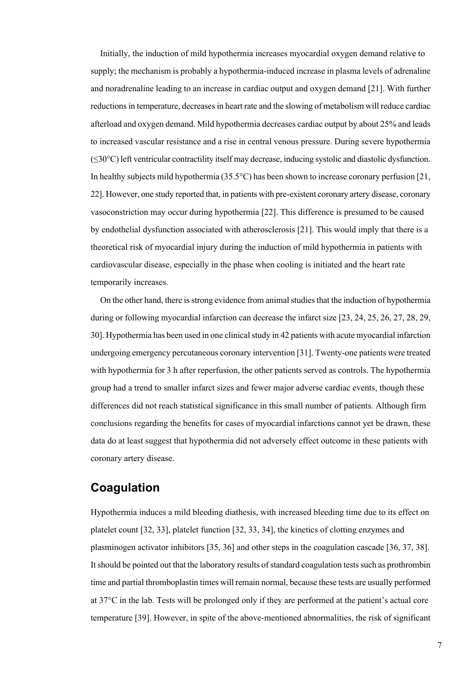Initially, the induction of mild hypothermia increases myocardial oxygen demand relative to supply; the mechanism is probably a hypothermia-induced increase in plasma levels of adrenaline and noradrenaline leading to an increase in cardiac output and oxygen demand [21]. With further reductions in temperature, decreases in heart rate and the slowing of metabolism will reduce cardiac afterload and oxygen demand. Mild hypothermia decreases cardiac output by about 25% and leads to increased vascular resistance and a rise in central venous pressure. During severe hypothermia (≤30°C) left ventricular contractility itself may decrease, inducing systolic and diastolic dysfunction. In healthy subjects mild hypothermia (35.5°C) has been shown to increase coronary perfusion [21, 22]. However, one study reported that, in patients with pre-existent coronary artery disease, coronary vasoconstriction may occur during hypothermia [22]. This difference is presumed to be caused by endothelial dysfunction associated with atherosclerosis [21]. This would imply that there is a theoretical risk of myocardial injury during the induction of mild hypothermia in patients with cardiovascular disease, especially in the phase when cooling is initiated and the heart rate temporarily increases.

On the other hand, there is strong evidence from animal studies that the induction of hypothermia during or following myocardial infarction can decrease the infarct size [23, 24, 25, 26, 27, 28, 29, 30]. Hypothermia has been used in one clinical study in 42 patients with acute myocardial infarction undergoing emergency percutaneous coronary intervention [31]. Twenty-one patients were treated with hypothermia for 3 h after reperfusion, the other patients served as controls. The hypothermia group had a trend to smaller infarct sizes and fewer major adverse cardiac events, though these differences did not reach statistical significance in this small number of patients. Although firm conclusions regarding the benefits for cases of myocardial infarctions cannot yet be drawn, these data do at least suggest that hypothermia did not adversely effect outcome in these patients with coronary artery disease.

## **Coagulation**

Hypothermia induces a mild bleeding diathesis, with increased bleeding time due to its effect on platelet count [32, 33], platelet function [32, 33, 34], the kinetics of clotting enzymes and plasminogen activator inhibitors [35, 36] and other steps in the coagulation cascade [36, 37, 38]. It should be pointed out that the laboratory results of standard coagulation tests such as prothrombin time and partial thromboplastin times will remain normal, because these tests are usually performed at 37°C in the lab. Tests will be prolonged only if they are performed at the patient's actual core temperature [39]. However, in spite of the above-mentioned abnormalities, the risk of significant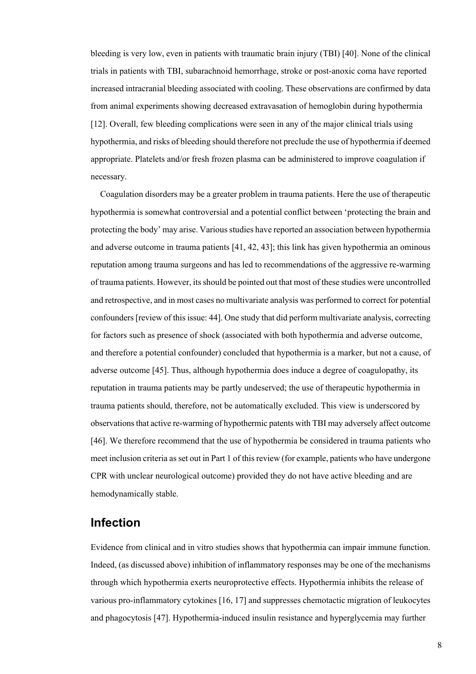bleeding is very low, even in patients with traumatic brain injury (TBI) [40]. None of the clinical trials in patients with TBI, subarachnoid hemorrhage, stroke or post-anoxic coma have reported increased intracranial bleeding associated with cooling. These observations are confirmed by data from animal experiments showing decreased extravasation of hemoglobin during hypothermia [12]. Overall, few bleeding complications were seen in any of the major clinical trials using hypothermia, and risks of bleeding should therefore not preclude the use of hypothermia if deemed appropriate. Platelets and/or fresh frozen plasma can be administered to improve coagulation if necessary.

Coagulation disorders may be a greater problem in trauma patients. Here the use of therapeutic hypothermia is somewhat controversial and a potential conflict between 'protecting the brain and protecting the body' may arise. Various studies have reported an association between hypothermia and adverse outcome in trauma patients [41, 42, 43]; this link has given hypothermia an ominous reputation among trauma surgeons and has led to recommendations of the aggressive re-warming of trauma patients. However, its should be pointed out that most of these studies were uncontrolled and retrospective, and in most cases no multivariate analysis was performed to correct for potential confounders [review of this issue: 44]. One study that did perform multivariate analysis, correcting for factors such as presence of shock (associated with both hypothermia and adverse outcome, and therefore a potential confounder) concluded that hypothermia is a marker, but not a cause, of adverse outcome [45]. Thus, although hypothermia does induce a degree of coagulopathy, its reputation in trauma patients may be partly undeserved; the use of therapeutic hypothermia in trauma patients should, therefore, not be automatically excluded. This view is underscored by observations that active re-warming of hypothermic patents with TBI may adversely affect outcome [46]. We therefore recommend that the use of hypothermia be considered in trauma patients who meet inclusion criteria as set out in Part 1 of this review (for example, patients who have undergone CPR with unclear neurological outcome) provided they do not have active bleeding and are hemodynamically stable.

### **Infection**

Evidence from clinical and in vitro studies shows that hypothermia can impair immune function. Indeed, (as discussed above) inhibition of inflammatory responses may be one of the mechanisms through which hypothermia exerts neuroprotective effects. Hypothermia inhibits the release of various pro-inflammatory cytokines [16, 17] and suppresses chemotactic migration of leukocytes and phagocytosis [47]. Hypothermia-induced insulin resistance and hyperglycemia may further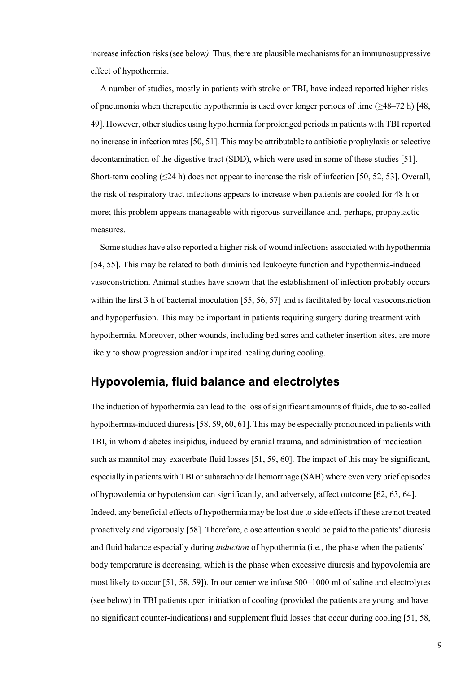increase infection risks (see below*)*. Thus, there are plausible mechanisms for an immunosuppressive effect of hypothermia.

A number of studies, mostly in patients with stroke or TBI, have indeed reported higher risks of pneumonia when therapeutic hypothermia is used over longer periods of time  $(\geq 48-72 \text{ h})$  [48, 49]. However, other studies using hypothermia for prolonged periods in patients with TBI reported no increase in infection rates [50, 51]. This may be attributable to antibiotic prophylaxis or selective decontamination of the digestive tract (SDD), which were used in some of these studies [51]. Short-term cooling  $(\leq 24 \text{ h})$  does not appear to increase the risk of infection [50, 52, 53]. Overall, the risk of respiratory tract infections appears to increase when patients are cooled for 48 h or more; this problem appears manageable with rigorous surveillance and, perhaps, prophylactic measures.

Some studies have also reported a higher risk of wound infections associated with hypothermia [54, 55]. This may be related to both diminished leukocyte function and hypothermia-induced vasoconstriction. Animal studies have shown that the establishment of infection probably occurs within the first 3 h of bacterial inoculation [55, 56, 57] and is facilitated by local vasoconstriction and hypoperfusion. This may be important in patients requiring surgery during treatment with hypothermia. Moreover, other wounds, including bed sores and catheter insertion sites, are more likely to show progression and/or impaired healing during cooling.

#### **Hypovolemia, fluid balance and electrolytes**

The induction of hypothermia can lead to the loss of significant amounts of fluids, due to so-called hypothermia-induced diuresis [58, 59, 60, 61]. This may be especially pronounced in patients with TBI, in whom diabetes insipidus, induced by cranial trauma, and administration of medication such as mannitol may exacerbate fluid losses [51, 59, 60]. The impact of this may be significant, especially in patients with TBI or subarachnoidal hemorrhage (SAH) where even very brief episodes of hypovolemia or hypotension can significantly, and adversely, affect outcome [62, 63, 64]. Indeed, any beneficial effects of hypothermia may be lost due to side effects if these are not treated proactively and vigorously [58]. Therefore, close attention should be paid to the patients' diuresis and fluid balance especially during *induction* of hypothermia (i.e., the phase when the patients' body temperature is decreasing, which is the phase when excessive diuresis and hypovolemia are most likely to occur [51, 58, 59]). In our center we infuse 500–1000 ml of saline and electrolytes (see below) in TBI patients upon initiation of cooling (provided the patients are young and have no significant counter-indications) and supplement fluid losses that occur during cooling [51, 58,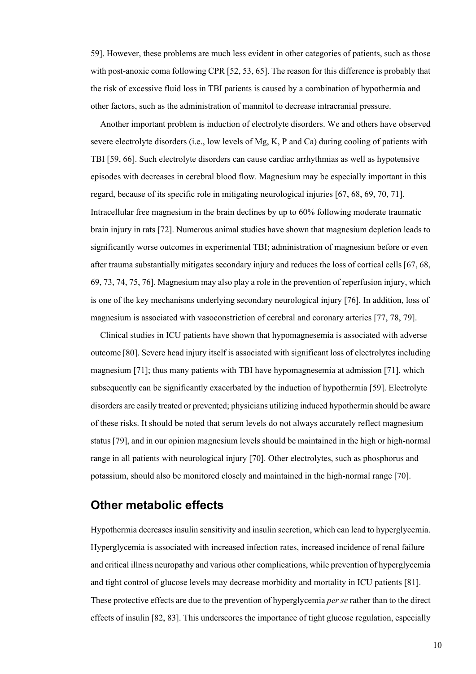59]. However, these problems are much less evident in other categories of patients, such as those with post-anoxic coma following CPR [52, 53, 65]. The reason for this difference is probably that the risk of excessive fluid loss in TBI patients is caused by a combination of hypothermia and other factors, such as the administration of mannitol to decrease intracranial pressure.

Another important problem is induction of electrolyte disorders. We and others have observed severe electrolyte disorders (i.e., low levels of Mg, K, P and Ca) during cooling of patients with TBI [59, 66]. Such electrolyte disorders can cause cardiac arrhythmias as well as hypotensive episodes with decreases in cerebral blood flow. Magnesium may be especially important in this regard, because of its specific role in mitigating neurological injuries [67, 68, 69, 70, 71]. Intracellular free magnesium in the brain declines by up to 60% following moderate traumatic brain injury in rats [72]. Numerous animal studies have shown that magnesium depletion leads to significantly worse outcomes in experimental TBI; administration of magnesium before or even after trauma substantially mitigates secondary injury and reduces the loss of cortical cells [67, 68, 69, 73, 74, 75, 76]. Magnesium may also play a role in the prevention of reperfusion injury, which is one of the key mechanisms underlying secondary neurological injury [76]. In addition, loss of magnesium is associated with vasoconstriction of cerebral and coronary arteries [77, 78, 79].

Clinical studies in ICU patients have shown that hypomagnesemia is associated with adverse outcome [80]. Severe head injury itself is associated with significant loss of electrolytes including magnesium [71]; thus many patients with TBI have hypomagnesemia at admission [71], which subsequently can be significantly exacerbated by the induction of hypothermia [59]. Electrolyte disorders are easily treated or prevented; physicians utilizing induced hypothermia should be aware of these risks. It should be noted that serum levels do not always accurately reflect magnesium status [79], and in our opinion magnesium levels should be maintained in the high or high-normal range in all patients with neurological injury [70]. Other electrolytes, such as phosphorus and potassium, should also be monitored closely and maintained in the high-normal range [70].

### **Other metabolic effects**

Hypothermia decreases insulin sensitivity and insulin secretion, which can lead to hyperglycemia. Hyperglycemia is associated with increased infection rates, increased incidence of renal failure and critical illness neuropathy and various other complications, while prevention of hyperglycemia and tight control of glucose levels may decrease morbidity and mortality in ICU patients [81]. These protective effects are due to the prevention of hyperglycemia *per se* rather than to the direct effects of insulin [82, 83]. This underscores the importance of tight glucose regulation, especially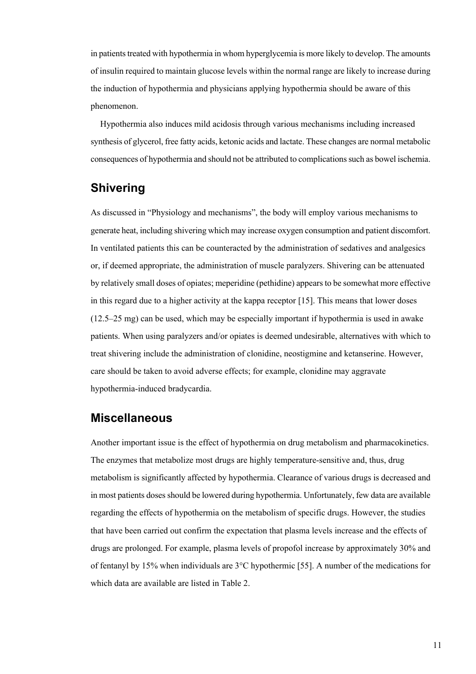in patients treated with hypothermia in whom hyperglycemia is more likely to develop. The amounts of insulin required to maintain glucose levels within the normal range are likely to increase during the induction of hypothermia and physicians applying hypothermia should be aware of this phenomenon.

Hypothermia also induces mild acidosis through various mechanisms including increased synthesis of glycerol, free fatty acids, ketonic acids and lactate. These changes are normal metabolic consequences of hypothermia and should not be attributed to complications such as bowel ischemia.

### **Shivering**

As discussed in "Physiology and mechanisms", the body will employ various mechanisms to generate heat, including shivering which may increase oxygen consumption and patient discomfort. In ventilated patients this can be counteracted by the administration of sedatives and analgesics or, if deemed appropriate, the administration of muscle paralyzers. Shivering can be attenuated by relatively small doses of opiates; meperidine (pethidine) appears to be somewhat more effective in this regard due to a higher activity at the kappa receptor [15]. This means that lower doses (12.5–25 mg) can be used, which may be especially important if hypothermia is used in awake patients. When using paralyzers and/or opiates is deemed undesirable, alternatives with which to treat shivering include the administration of clonidine, neostigmine and ketanserine. However, care should be taken to avoid adverse effects; for example, clonidine may aggravate hypothermia-induced bradycardia.

## **Miscellaneous**

Another important issue is the effect of hypothermia on drug metabolism and pharmacokinetics. The enzymes that metabolize most drugs are highly temperature-sensitive and, thus, drug metabolism is significantly affected by hypothermia. Clearance of various drugs is decreased and in most patients doses should be lowered during hypothermia. Unfortunately, few data are available regarding the effects of hypothermia on the metabolism of specific drugs. However, the studies that have been carried out confirm the expectation that plasma levels increase and the effects of drugs are prolonged. For example, plasma levels of propofol increase by approximately 30% and of fentanyl by 15% when individuals are 3°C hypothermic [55]. A number of the medications for which data are available are listed in Table 2.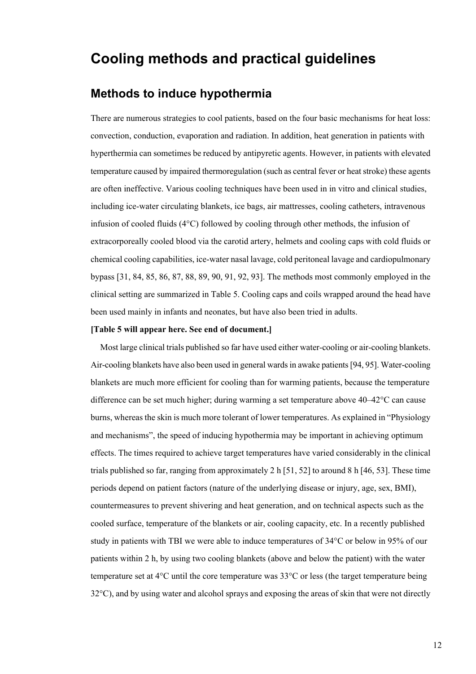## **Cooling methods and practical guidelines**

## **Methods to induce hypothermia**

There are numerous strategies to cool patients, based on the four basic mechanisms for heat loss: convection, conduction, evaporation and radiation. In addition, heat generation in patients with hyperthermia can sometimes be reduced by antipyretic agents. However, in patients with elevated temperature caused by impaired thermoregulation (such as central fever or heat stroke) these agents are often ineffective. Various cooling techniques have been used in in vitro and clinical studies, including ice-water circulating blankets, ice bags, air mattresses, cooling catheters, intravenous infusion of cooled fluids (4°C) followed by cooling through other methods, the infusion of extracorporeally cooled blood via the carotid artery, helmets and cooling caps with cold fluids or chemical cooling capabilities, ice-water nasal lavage, cold peritoneal lavage and cardiopulmonary bypass [31, 84, 85, 86, 87, 88, 89, 90, 91, 92, 93]. The methods most commonly employed in the clinical setting are summarized in Table 5. Cooling caps and coils wrapped around the head have been used mainly in infants and neonates, but have also been tried in adults.

#### **[Table 5 will appear here. See end of document.]**

Most large clinical trials published so far have used either water-cooling or air-cooling blankets. Air-cooling blankets have also been used in general wards in awake patients [94, 95]. Water-cooling blankets are much more efficient for cooling than for warming patients, because the temperature difference can be set much higher; during warming a set temperature above 40–42°C can cause burns, whereas the skin is much more tolerant of lower temperatures. As explained in "Physiology and mechanisms", the speed of inducing hypothermia may be important in achieving optimum effects. The times required to achieve target temperatures have varied considerably in the clinical trials published so far, ranging from approximately 2 h [51, 52] to around 8 h [46, 53]. These time periods depend on patient factors (nature of the underlying disease or injury, age, sex, BMI), countermeasures to prevent shivering and heat generation, and on technical aspects such as the cooled surface, temperature of the blankets or air, cooling capacity, etc. In a recently published study in patients with TBI we were able to induce temperatures of 34°C or below in 95% of our patients within 2 h, by using two cooling blankets (above and below the patient) with the water temperature set at 4°C until the core temperature was 33°C or less (the target temperature being  $32^{\circ}$ C), and by using water and alcohol sprays and exposing the areas of skin that were not directly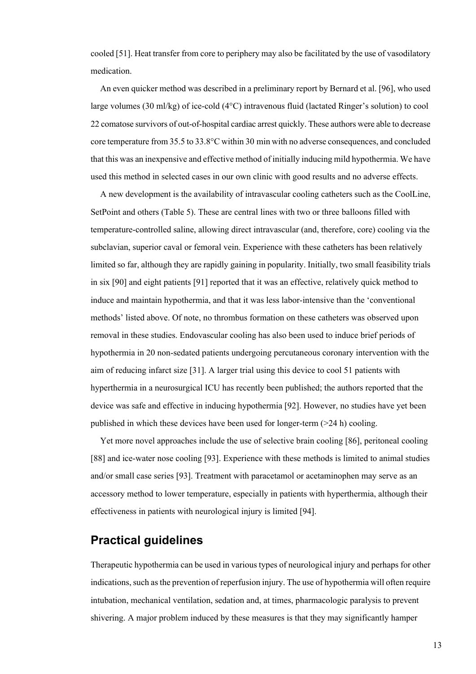cooled [51]. Heat transfer from core to periphery may also be facilitated by the use of vasodilatory medication.

An even quicker method was described in a preliminary report by Bernard et al. [96], who used large volumes (30 ml/kg) of ice-cold (4°C) intravenous fluid (lactated Ringer's solution) to cool 22 comatose survivors of out-of-hospital cardiac arrest quickly. These authors were able to decrease core temperature from 35.5 to 33.8°C within 30 min with no adverse consequences, and concluded that this was an inexpensive and effective method of initially inducing mild hypothermia. We have used this method in selected cases in our own clinic with good results and no adverse effects.

A new development is the availability of intravascular cooling catheters such as the CoolLine, SetPoint and others (Table 5). These are central lines with two or three balloons filled with temperature-controlled saline, allowing direct intravascular (and, therefore, core) cooling via the subclavian, superior caval or femoral vein. Experience with these catheters has been relatively limited so far, although they are rapidly gaining in popularity. Initially, two small feasibility trials in six [90] and eight patients [91] reported that it was an effective, relatively quick method to induce and maintain hypothermia, and that it was less labor-intensive than the 'conventional methods' listed above. Of note, no thrombus formation on these catheters was observed upon removal in these studies. Endovascular cooling has also been used to induce brief periods of hypothermia in 20 non-sedated patients undergoing percutaneous coronary intervention with the aim of reducing infarct size [31]. A larger trial using this device to cool 51 patients with hyperthermia in a neurosurgical ICU has recently been published; the authors reported that the device was safe and effective in inducing hypothermia [92]. However, no studies have yet been published in which these devices have been used for longer-term (>24 h) cooling.

Yet more novel approaches include the use of selective brain cooling [86], peritoneal cooling [88] and ice-water nose cooling [93]. Experience with these methods is limited to animal studies and/or small case series [93]. Treatment with paracetamol or acetaminophen may serve as an accessory method to lower temperature, especially in patients with hyperthermia, although their effectiveness in patients with neurological injury is limited [94].

### **Practical guidelines**

Therapeutic hypothermia can be used in various types of neurological injury and perhaps for other indications, such as the prevention of reperfusion injury. The use of hypothermia will often require intubation, mechanical ventilation, sedation and, at times, pharmacologic paralysis to prevent shivering. A major problem induced by these measures is that they may significantly hamper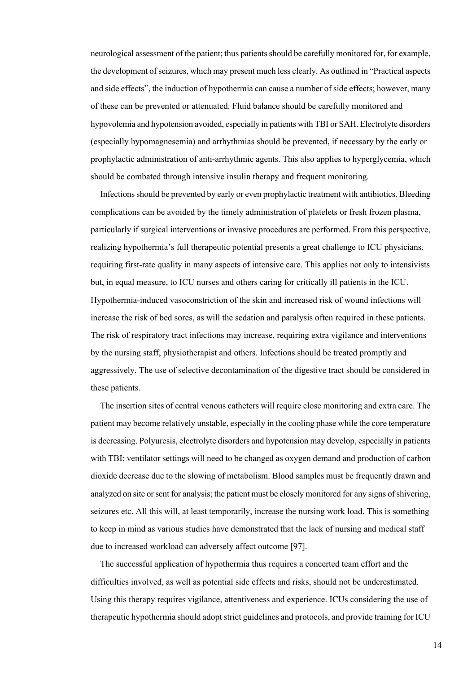neurological assessment of the patient; thus patients should be carefully monitored for, for example, the development of seizures, which may present much less clearly. As outlined in "Practical aspects and side effects", the induction of hypothermia can cause a number of side effects; however, many of these can be prevented or attenuated. Fluid balance should be carefully monitored and hypovolemia and hypotension avoided, especially in patients with TBI or SAH. Electrolyte disorders (especially hypomagnesemia) and arrhythmias should be prevented, if necessary by the early or prophylactic administration of anti-arrhythmic agents. This also applies to hyperglycemia, which should be combated through intensive insulin therapy and frequent monitoring.

Infections should be prevented by early or even prophylactic treatment with antibiotics. Bleeding complications can be avoided by the timely administration of platelets or fresh frozen plasma, particularly if surgical interventions or invasive procedures are performed. From this perspective, realizing hypothermia's full therapeutic potential presents a great challenge to ICU physicians, requiring first-rate quality in many aspects of intensive care. This applies not only to intensivists but, in equal measure, to ICU nurses and others caring for critically ill patients in the ICU. Hypothermia-induced vasoconstriction of the skin and increased risk of wound infections will increase the risk of bed sores, as will the sedation and paralysis often required in these patients. The risk of respiratory tract infections may increase, requiring extra vigilance and interventions by the nursing staff, physiotherapist and others. Infections should be treated promptly and aggressively. The use of selective decontamination of the digestive tract should be considered in these patients.

The insertion sites of central venous catheters will require close monitoring and extra care. The patient may become relatively unstable, especially in the cooling phase while the core temperature is decreasing. Polyuresis, electrolyte disorders and hypotension may develop, especially in patients with TBI; ventilator settings will need to be changed as oxygen demand and production of carbon dioxide decrease due to the slowing of metabolism. Blood samples must be frequently drawn and analyzed on site or sent for analysis; the patient must be closely monitored for any signs of shivering, seizures etc. All this will, at least temporarily, increase the nursing work load. This is something to keep in mind as various studies have demonstrated that the lack of nursing and medical staff due to increased workload can adversely affect outcome [97].

The successful application of hypothermia thus requires a concerted team effort and the difficulties involved, as well as potential side effects and risks, should not be underestimated. Using this therapy requires vigilance, attentiveness and experience. ICUs considering the use of therapeutic hypothermia should adopt strict guidelines and protocols, and provide training for ICU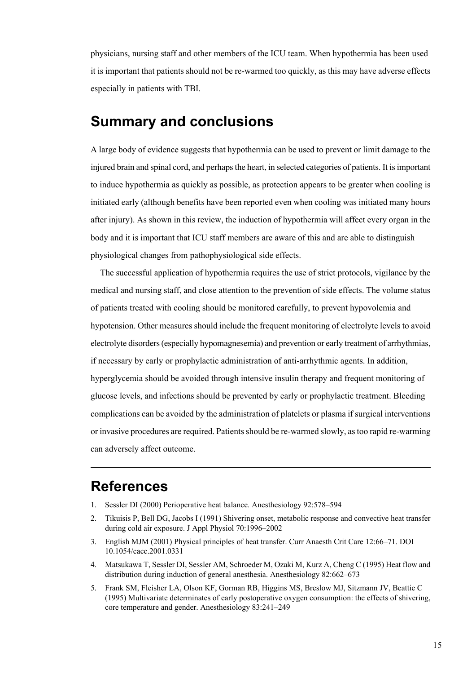physicians, nursing staff and other members of the ICU team. When hypothermia has been used it is important that patients should not be re-warmed too quickly, as this may have adverse effects especially in patients with TBI.

# **Summary and conclusions**

A large body of evidence suggests that hypothermia can be used to prevent or limit damage to the injured brain and spinal cord, and perhaps the heart, in selected categories of patients. It is important to induce hypothermia as quickly as possible, as protection appears to be greater when cooling is initiated early (although benefits have been reported even when cooling was initiated many hours after injury). As shown in this review, the induction of hypothermia will affect every organ in the body and it is important that ICU staff members are aware of this and are able to distinguish physiological changes from pathophysiological side effects.

The successful application of hypothermia requires the use of strict protocols, vigilance by the medical and nursing staff, and close attention to the prevention of side effects. The volume status of patients treated with cooling should be monitored carefully, to prevent hypovolemia and hypotension. Other measures should include the frequent monitoring of electrolyte levels to avoid electrolyte disorders (especially hypomagnesemia) and prevention or early treatment of arrhythmias, if necessary by early or prophylactic administration of anti-arrhythmic agents. In addition, hyperglycemia should be avoided through intensive insulin therapy and frequent monitoring of glucose levels, and infections should be prevented by early or prophylactic treatment. Bleeding complications can be avoided by the administration of platelets or plasma if surgical interventions or invasive procedures are required. Patients should be re-warmed slowly, as too rapid re-warming can adversely affect outcome.

## **References**

- 1. Sessler DI (2000) Perioperative heat balance. Anesthesiology 92:578–594
- 2. Tikuisis P, Bell DG, Jacobs I (1991) Shivering onset, metabolic response and convective heat transfer during cold air exposure. J Appl Physiol 70:1996–2002
- 3. English MJM (2001) Physical principles of heat transfer. Curr Anaesth Crit Care 12:66–71. DOI 10.1054/cacc.2001.0331
- 4. Matsukawa T, Sessler DI, Sessler AM, Schroeder M, Ozaki M, Kurz A, Cheng C (1995) Heat flow and distribution during induction of general anesthesia. Anesthesiology 82:662–673
- 5. Frank SM, Fleisher LA, Olson KF, Gorman RB, Higgins MS, Breslow MJ, Sitzmann JV, Beattie C (1995) Multivariate determinates of early postoperative oxygen consumption: the effects of shivering, core temperature and gender. Anesthesiology 83:241–249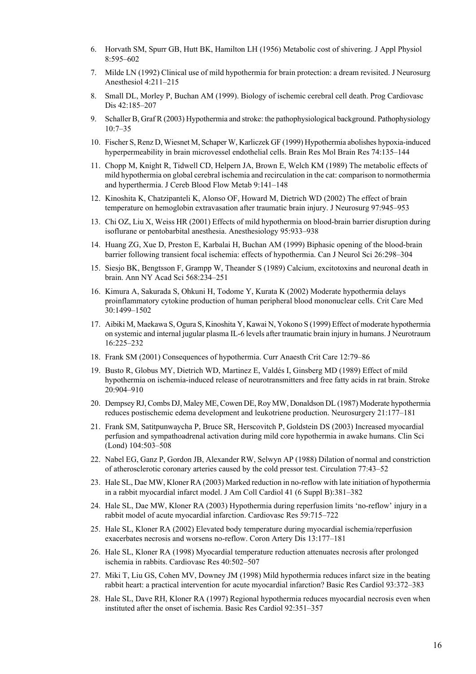- 6. Horvath SM, Spurr GB, Hutt BK, Hamilton LH (1956) Metabolic cost of shivering. J Appl Physiol 8:595–602
- 7. Milde LN (1992) Clinical use of mild hypothermia for brain protection: a dream revisited. J Neurosurg Anesthesiol 4:211–215
- 8. Small DL, Morley P, Buchan AM (1999). Biology of ischemic cerebral cell death. Prog Cardiovasc Dis 42:185–207
- 9. Schaller B, Graf R (2003) Hypothermia and stroke: the pathophysiological background. Pathophysiology 10:7–35
- 10. Fischer S, Renz D, Wiesnet M, Schaper W, Karliczek GF (1999) Hypothermia abolishes hypoxia-induced hyperpermeability in brain microvessel endothelial cells. Brain Res Mol Brain Res 74:135–144
- 11. Chopp M, Knight R, Tidwell CD, Helpern JA, Brown E, Welch KM (1989) The metabolic effects of mild hypothermia on global cerebral ischemia and recirculation in the cat: comparison to normothermia and hyperthermia. J Cereb Blood Flow Metab 9:141–148
- 12. Kinoshita K, Chatzipanteli K, Alonso OF, Howard M, Dietrich WD (2002) The effect of brain temperature on hemoglobin extravasation after traumatic brain injury. J Neurosurg 97:945–953
- 13. Chi OZ, Liu X, Weiss HR (2001) Effects of mild hypothermia on blood-brain barrier disruption during isoflurane or pentobarbital anesthesia. Anesthesiology 95:933–938
- 14. Huang ZG, Xue D, Preston E, Karbalai H, Buchan AM (1999) Biphasic opening of the blood-brain barrier following transient focal ischemia: effects of hypothermia. Can J Neurol Sci 26:298–304
- 15. Siesjo BK, Bengtsson F, Grampp W, Theander S (1989) Calcium, excitotoxins and neuronal death in brain. Ann NY Acad Sci 568:234–251
- 16. Kimura A, Sakurada S, Ohkuni H, Todome Y, Kurata K (2002) Moderate hypothermia delays proinflammatory cytokine production of human peripheral blood mononuclear cells. Crit Care Med 30:1499–1502
- 17. Aibiki M, Maekawa S, Ogura S, Kinoshita Y, Kawai N, Yokono S (1999) Effect of moderate hypothermia on systemic and internal jugular plasma IL-6 levels after traumatic brain injury in humans. J Neurotraum 16:225–232
- 18. Frank SM (2001) Consequences of hypothermia. Curr Anaesth Crit Care 12:79–86
- 19. Busto R, Globus MY, Dietrich WD, Martinez E, Valdés I, Ginsberg MD (1989) Effect of mild hypothermia on ischemia-induced release of neurotransmitters and free fatty acids in rat brain. Stroke 20:904–910
- 20. Dempsey RJ, Combs DJ, Maley ME, Cowen DE, Roy MW, Donaldson DL (1987) Moderate hypothermia reduces postischemic edema development and leukotriene production. Neurosurgery 21:177–181
- 21. Frank SM, Satitpunwaycha P, Bruce SR, Herscovitch P, Goldstein DS (2003) Increased myocardial perfusion and sympathoadrenal activation during mild core hypothermia in awake humans. Clin Sci (Lond) 104:503–508
- 22. Nabel EG, Ganz P, Gordon JB, Alexander RW, Selwyn AP (1988) Dilation of normal and constriction of atherosclerotic coronary arteries caused by the cold pressor test. Circulation 77:43–52
- 23. Hale SL, Dae MW, Kloner RA (2003) Marked reduction in no-reflow with late initiation of hypothermia in a rabbit myocardial infarct model. J Am Coll Cardiol 41 (6 Suppl B):381–382
- 24. Hale SL, Dae MW, Kloner RA (2003) Hypothermia during reperfusion limits 'no-reflow' injury in a rabbit model of acute myocardial infarction. Cardiovasc Res 59:715–722
- 25. Hale SL, Kloner RA (2002) Elevated body temperature during myocardial ischemia/reperfusion exacerbates necrosis and worsens no-reflow. Coron Artery Dis 13:177–181
- 26. Hale SL, Kloner RA (1998) Myocardial temperature reduction attenuates necrosis after prolonged ischemia in rabbits. Cardiovasc Res 40:502–507
- 27. Miki T, Liu GS, Cohen MV, Downey JM (1998) Mild hypothermia reduces infarct size in the beating rabbit heart: a practical intervention for acute myocardial infarction? Basic Res Cardiol 93:372–383
- 28. Hale SL, Dave RH, Kloner RA (1997) Regional hypothermia reduces myocardial necrosis even when instituted after the onset of ischemia. Basic Res Cardiol 92:351–357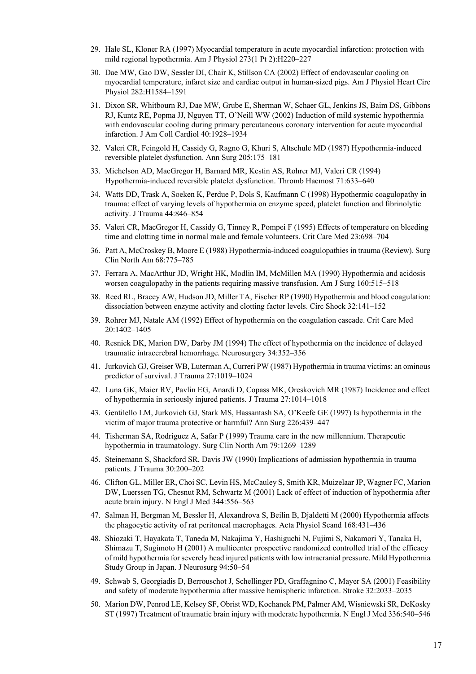- 29. Hale SL, Kloner RA (1997) Myocardial temperature in acute myocardial infarction: protection with mild regional hypothermia. Am J Physiol 273(1 Pt 2):H220–227
- 30. Dae MW, Gao DW, Sessler DI, Chair K, Stillson CA (2002) Effect of endovascular cooling on myocardial temperature, infarct size and cardiac output in human-sized pigs. Am J Physiol Heart Circ Physiol 282:H1584–1591
- 31. Dixon SR, Whitbourn RJ, Dae MW, Grube E, Sherman W, Schaer GL, Jenkins JS, Baim DS, Gibbons RJ, Kuntz RE, Popma JJ, Nguyen TT, O'Neill WW (2002) Induction of mild systemic hypothermia with endovascular cooling during primary percutaneous coronary intervention for acute myocardial infarction. J Am Coll Cardiol 40:1928–1934
- 32. Valeri CR, Feingold H, Cassidy G, Ragno G, Khuri S, Altschule MD (1987) Hypothermia-induced reversible platelet dysfunction. Ann Surg 205:175–181
- 33. Michelson AD, MacGregor H, Barnard MR, Kestin AS, Rohrer MJ, Valeri CR (1994) Hypothermia-induced reversible platelet dysfunction. Thromb Haemost 71:633–640
- 34. Watts DD, Trask A, Soeken K, Perdue P, Dols S, Kaufmann C (1998) Hypothermic coagulopathy in trauma: effect of varying levels of hypothermia on enzyme speed, platelet function and fibrinolytic activity. J Trauma 44:846–854
- 35. Valeri CR, MacGregor H, Cassidy G, Tinney R, Pompei F (1995) Effects of temperature on bleeding time and clotting time in normal male and female volunteers. Crit Care Med 23:698–704
- 36. Patt A, McCroskey B, Moore E (1988) Hypothermia-induced coagulopathies in trauma (Review). Surg Clin North Am 68:775–785
- 37. Ferrara A, MacArthur JD, Wright HK, Modlin IM, McMillen MA (1990) Hypothermia and acidosis worsen coagulopathy in the patients requiring massive transfusion. Am J Surg 160:515–518
- 38. Reed RL, Bracey AW, Hudson JD, Miller TA, Fischer RP (1990) Hypothermia and blood coagulation: dissociation between enzyme activity and clotting factor levels. Circ Shock 32:141–152
- 39. Rohrer MJ, Natale AM (1992) Effect of hypothermia on the coagulation cascade. Crit Care Med 20:1402–1405
- 40. Resnick DK, Marion DW, Darby JM (1994) The effect of hypothermia on the incidence of delayed traumatic intracerebral hemorrhage. Neurosurgery 34:352–356
- 41. Jurkovich GJ, Greiser WB, Luterman A, Curreri PW (1987) Hypothermia in trauma victims: an ominous predictor of survival. J Trauma 27:1019–1024
- 42. Luna GK, Maier RV, Pavlin EG, Anardi D, Copass MK, Oreskovich MR (1987) Incidence and effect of hypothermia in seriously injured patients. J Trauma 27:1014–1018
- 43. Gentilello LM, Jurkovich GJ, Stark MS, Hassantash SA, O'Keefe GE (1997) Is hypothermia in the victim of major trauma protective or harmful? Ann Surg 226:439–447
- 44. Tisherman SA, Rodriguez A, Safar P (1999) Trauma care in the new millennium. Therapeutic hypothermia in traumatology. Surg Clin North Am 79:1269–1289
- 45. Steinemann S, Shackford SR, Davis JW (1990) Implications of admission hypothermia in trauma patients. J Trauma 30:200–202
- 46. Clifton GL, Miller ER, Choi SC, Levin HS, McCauley S, Smith KR, Muizelaar JP, Wagner FC, Marion DW, Luerssen TG, Chesnut RM, Schwartz M (2001) Lack of effect of induction of hypothermia after acute brain injury. N Engl J Med 344:556–563
- 47. Salman H, Bergman M, Bessler H, Alexandrova S, Beilin B, Djaldetti M (2000) Hypothermia affects the phagocytic activity of rat peritoneal macrophages. Acta Physiol Scand 168:431–436
- 48. Shiozaki T, Hayakata T, Taneda M, Nakajima Y, Hashiguchi N, Fujimi S, Nakamori Y, Tanaka H, Shimazu T, Sugimoto H (2001) A multicenter prospective randomized controlled trial of the efficacy of mild hypothermia for severely head injured patients with low intracranial pressure. Mild Hypothermia Study Group in Japan. J Neurosurg 94:50–54
- 49. Schwab S, Georgiadis D, Berrouschot J, Schellinger PD, Graffagnino C, Mayer SA (2001) Feasibility and safety of moderate hypothermia after massive hemispheric infarction. Stroke 32:2033–2035
- 50. Marion DW, Penrod LE, Kelsey SF, Obrist WD, Kochanek PM, Palmer AM, Wisniewski SR, DeKosky ST (1997) Treatment of traumatic brain injury with moderate hypothermia. N Engl J Med 336:540–546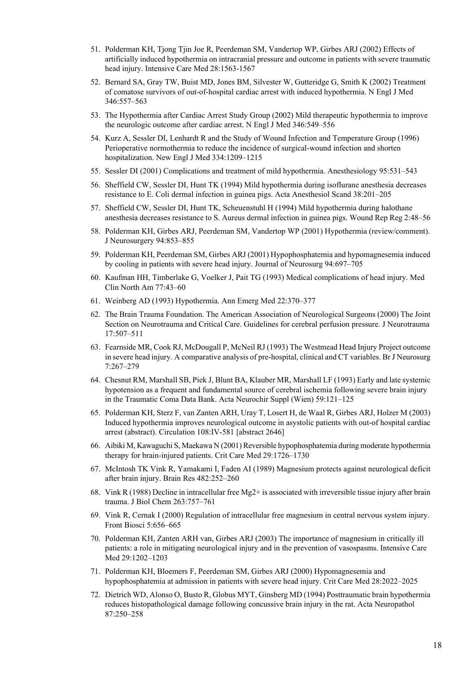- 51. Polderman KH, Tjong Tjin Joe R, Peerdeman SM, Vandertop WP, Girbes ARJ (2002) Effects of artificially induced hypothermia on intracranial pressure and outcome in patients with severe traumatic head injury. Intensive Care Med 28:1563-1567
- 52. Bernard SA, Gray TW, Buist MD, Jones BM, Silvester W, Gutteridge G, Smith K (2002) Treatment of comatose survivors of out-of-hospital cardiac arrest with induced hypothermia. N Engl J Med 346:557–563
- 53. The Hypothermia after Cardiac Arrest Study Group (2002) Mild therapeutic hypothermia to improve the neurologic outcome after cardiac arrest. N Engl J Med 346:549–556
- 54. Kurz A, Sessler DI, Lenhardt R and the Study of Wound Infection and Temperature Group (1996) Perioperative normothermia to reduce the incidence of surgical-wound infection and shorten hospitalization. New Engl J Med 334:1209–1215
- 55. Sessler DI (2001) Complications and treatment of mild hypothermia. Anesthesiology 95:531–543
- 56. Sheffield CW, Sessler DI, Hunt TK (1994) Mild hypothermia during isoflurane anesthesia decreases resistance to E. Coli dermal infection in guinea pigs. Acta Anesthesiol Scand 38:201–205
- 57. Sheffield CW, Sessler DI, Hunt TK, Scheuenstuhl H (1994) Mild hypothermia during halothane anesthesia decreases resistance to S. Aureus dermal infection in guinea pigs. Wound Rep Reg 2:48–56
- 58. Polderman KH, Girbes ARJ, Peerdeman SM, Vandertop WP (2001) Hypothermia (review/comment). J Neurosurgery 94:853–855
- 59. Polderman KH, Peerdeman SM, Girbes ARJ (2001) Hypophosphatemia and hypomagnesemia induced by cooling in patients with severe head injury. Journal of Neurosurg 94:697–705
- 60. Kaufman HH, Timberlake G, Voelker J, Pait TG (1993) Medical complications of head injury. Med Clin North Am 77:43–60
- 61. Weinberg AD (1993) Hypothermia. Ann Emerg Med 22:370–377
- 62. The Brain Trauma Foundation. The American Association of Neurological Surgeons (2000) The Joint Section on Neurotrauma and Critical Care. Guidelines for cerebral perfusion pressure. J Neurotrauma 17:507–511
- 63. Fearnside MR, Cook RJ, McDougall P, McNeil RJ (1993) The Westmead Head Injury Project outcome in severe head injury. A comparative analysis of pre-hospital, clinical and CT variables. Br J Neurosurg 7:267–279
- 64. Chesnut RM, Marshall SB, Piek J, Blunt BA, Klauber MR, Marshall LF (1993) Early and late systemic hypotension as a frequent and fundamental source of cerebral ischemia following severe brain injury in the Traumatic Coma Data Bank. Acta Neurochir Suppl (Wien) 59:121–125
- 65. Polderman KH, Sterz F, van Zanten ARH, Uray T, Losert H, de Waal R, Girbes ARJ, Holzer M (2003) Induced hypothermia improves neurological outcome in asystolic patients with out-of hospital cardiac arrest (abstract). Circulation 108:IV-581 [abstract 2646]
- 66. Aibiki M, Kawaguchi S, Maekawa N (2001) Reversible hypophosphatemia during moderate hypothermia therapy for brain-injured patients. Crit Care Med 29:1726–1730
- 67. McIntosh TK Vink R, Yamakami I, Faden AI (1989) Magnesium protects against neurological deficit after brain injury. Brain Res 482:252–260
- 68. Vink R (1988) Decline in intracellular free Mg2+ is associated with irreversible tissue injury after brain trauma. J Biol Chem 263:757–761
- 69. Vink R, Cernak I (2000) Regulation of intracellular free magnesium in central nervous system injury. Front Biosci 5:656–665
- 70. Polderman KH, Zanten ARH van, Girbes ARJ (2003) The importance of magnesium in critically ill patients: a role in mitigating neurological injury and in the prevention of vasospasms. Intensive Care Med 29:1202–1203
- 71. Polderman KH, Bloemers F, Peerdeman SM, Girbes ARJ (2000) Hypomagnesemia and hypophosphatemia at admission in patients with severe head injury. Crit Care Med 28:2022–2025
- 72. Dietrich WD, Alonso O, Busto R, Globus MYT, Ginsberg MD (1994) Posttraumatic brain hypothermia reduces histopathological damage following concussive brain injury in the rat. Acta Neuropathol 87:250–258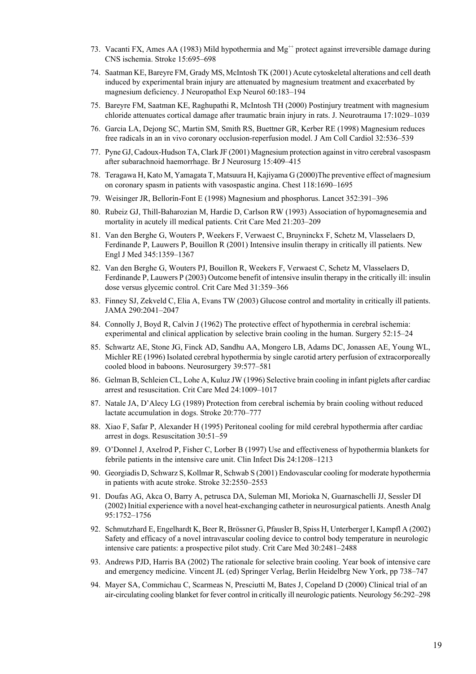- 73. Vacanti FX, Ames AA (1983) Mild hypothermia and  $Mg^{++}$  protect against irreversible damage during CNS ischemia. Stroke 15:695–698
- 74. Saatman KE, Bareyre FM, Grady MS, McIntosh TK (2001) Acute cytoskeletal alterations and cell death induced by experimental brain injury are attenuated by magnesium treatment and exacerbated by magnesium deficiency. J Neuropathol Exp Neurol 60:183–194
- 75. Bareyre FM, Saatman KE, Raghupathi R, McIntosh TH (2000) Postinjury treatment with magnesium chloride attenuates cortical damage after traumatic brain injury in rats. J. Neurotrauma 17:1029–1039
- 76. Garcia LA, Dejong SC, Martin SM, Smith RS, Buettner GR, Kerber RE (1998) Magnesium reduces free radicals in an in vivo coronary occlusion-reperfusion model. J Am Coll Cardiol 32:536–539
- 77. Pyne GJ, Cadoux-Hudson TA, Clark JF (2001) Magnesium protection against in vitro cerebral vasospasm after subarachnoid haemorrhage. Br J Neurosurg 15:409–415
- 78. Teragawa H, Kato M, Yamagata T, Matsuura H, Kajiyama G (2000)The preventive effect of magnesium on coronary spasm in patients with vasospastic angina. Chest 118:1690–1695
- 79. Weisinger JR, Bellorín-Font E (1998) Magnesium and phosphorus. Lancet 352:391–396
- 80. Rubeiz GJ, Thill-Baharozian M, Hardie D, Carlson RW (1993) Association of hypomagnesemia and mortality in acutely ill medical patients. Crit Care Med 21:203–209
- 81. Van den Berghe G, Wouters P, Weekers F, Verwaest C, Bruyninckx F, Schetz M, Vlasselaers D, Ferdinande P, Lauwers P, Bouillon R (2001) Intensive insulin therapy in critically ill patients. New Engl J Med 345:1359–1367
- 82. Van den Berghe G, Wouters PJ, Bouillon R, Weekers F, Verwaest C, Schetz M, Vlasselaers D, Ferdinande P, Lauwers P (2003) Outcome benefit of intensive insulin therapy in the critically ill: insulin dose versus glycemic control. Crit Care Med 31:359–366
- 83. Finney SJ, Zekveld C, Elia A, Evans TW (2003) Glucose control and mortality in critically ill patients. JAMA 290:2041–2047
- 84. Connolly J, Boyd R, Calvin J (1962) The protective effect of hypothermia in cerebral ischemia: experimental and clinical application by selective brain cooling in the human. Surgery 52:15–24
- 85. Schwartz AE, Stone JG, Finck AD, Sandhu AA, Mongero LB, Adams DC, Jonassen AE, Young WL, Michler RE (1996) Isolated cerebral hypothermia by single carotid artery perfusion of extracorporeally cooled blood in baboons. Neurosurgery 39:577–581
- 86. Gelman B, Schleien CL, Lohe A, Kuluz JW (1996) Selective brain cooling in infant piglets after cardiac arrest and resuscitation. Crit Care Med 24:1009–1017
- 87. Natale JA, D'Alecy LG (1989) Protection from cerebral ischemia by brain cooling without reduced lactate accumulation in dogs. Stroke 20:770–777
- 88. Xiao F, Safar P, Alexander H (1995) Peritoneal cooling for mild cerebral hypothermia after cardiac arrest in dogs. Resuscitation 30:51–59
- 89. O'Donnel J, Axelrod P, Fisher C, Lorber B (1997) Use and effectiveness of hypothermia blankets for febrile patients in the intensive care unit. Clin Infect Dis 24:1208–1213
- 90. Georgiadis D, Schwarz S, Kollmar R, Schwab S (2001) Endovascular cooling for moderate hypothermia in patients with acute stroke. Stroke 32:2550–2553
- 91. Doufas AG, Akca O, Barry A, petrusca DA, Suleman MI, Morioka N, Guarnaschelli JJ, Sessler DI (2002) Initial experience with a novel heat-exchanging catheter in neurosurgical patients. Anesth Analg 95:1752–1756
- 92. Schmutzhard E, Engelhardt K, Beer R, Brössner G, Pfausler B, Spiss H, Unterberger I, Kampfl A (2002) Safety and efficacy of a novel intravascular cooling device to control body temperature in neurologic intensive care patients: a prospective pilot study. Crit Care Med 30:2481–2488
- 93. Andrews PJD, Harris BA (2002) The rationale for selective brain cooling. Year book of intensive care and emergency medicine. Vincent JL (ed) Springer Verlag, Berlin Heidelbrg New York, pp 738–747
- 94. Mayer SA, Commichau C, Scarmeas N, Presciutti M, Bates J, Copeland D (2000) Clinical trial of an air-circulating cooling blanket for fever control in critically ill neurologic patients. Neurology 56:292–298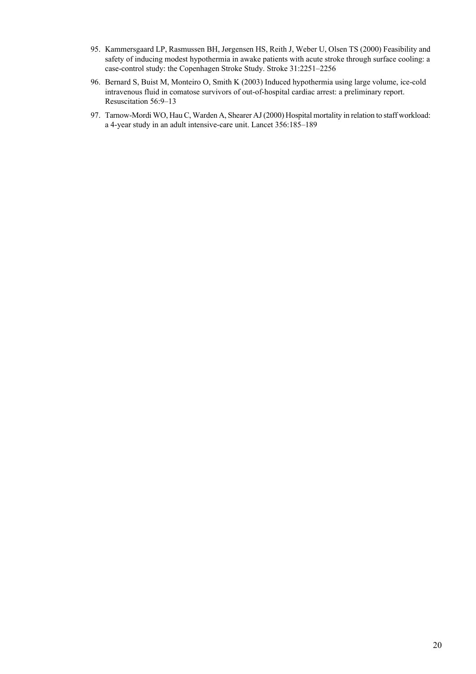- 95. Kammersgaard LP, Rasmussen BH, Jørgensen HS, Reith J, Weber U, Olsen TS (2000) Feasibility and safety of inducing modest hypothermia in awake patients with acute stroke through surface cooling: a case-control study: the Copenhagen Stroke Study. Stroke 31:2251–2256
- 96. Bernard S, Buist M, Monteiro O, Smith K (2003) Induced hypothermia using large volume, ice-cold intravenous fluid in comatose survivors of out-of-hospital cardiac arrest: a preliminary report. Resuscitation 56:9–13
- 97. Tarnow-Mordi WO, Hau C, Warden A, Shearer AJ (2000) Hospital mortality in relation to staff workload: a 4-year study in an adult intensive-care unit. Lancet 356:185–189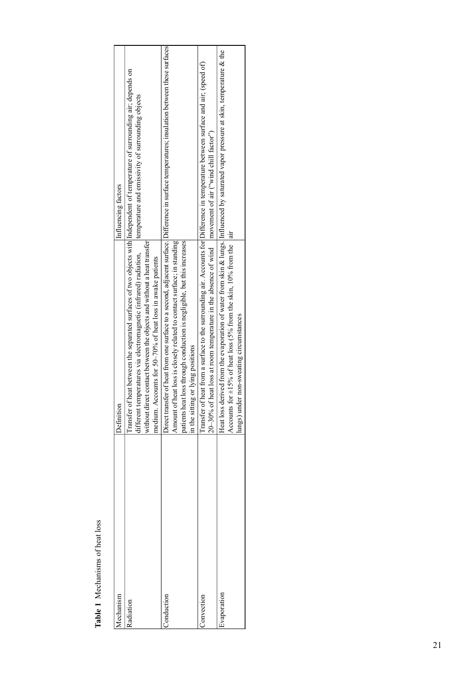| ā          |
|------------|
| micmo<br>ģ |
| ŕ          |

| Aechanism   | <b>Definition</b>                                                                                                                                                                                                                                                                                                                                                                           | Influencing factors |
|-------------|---------------------------------------------------------------------------------------------------------------------------------------------------------------------------------------------------------------------------------------------------------------------------------------------------------------------------------------------------------------------------------------------|---------------------|
| Radiation   | Transfer of heat between the separated surfaces of two objects with Independent of temperature of surrounding air; depends on<br>different temperatures via electromagnetic (infrared) radiation, lemperature and emissivity of surrounding objects<br>without direct contact between the objects and without a heat transfer<br>medium. Accounts for 50-70% of heat loss in awake patients |                     |
| Conduction  | Direct transfer of heat from one surface to a second, adjacent surface. Difference in surface temperatures; insulation between these surfaces<br>Amount of heat loss is closely related to contact surface; in standing<br>patients heat loss through conduction is negligible, but this increases<br>in the sitting or lying positions                                                     |                     |
| Convection  | Transfer of heat from a surface to the surrounding air. Accounts for Difference in temperature between surface and air, (speed of)<br>$20-30%$ of heat loss at room temperature in the absence of wind novement of air ("wind chill factor")                                                                                                                                                |                     |
| ivaporation | Heat loss derived from the evaporation of water from skin & lungs. Influenced by saturated vapor pressure at skin, temperature & the<br>for $\pm$ 15% of heat loss (5% from the skin, 10% from the air<br>lungs) under non-sweating circumstances<br>Accounts 1                                                                                                                             |                     |
|             |                                                                                                                                                                                                                                                                                                                                                                                             |                     |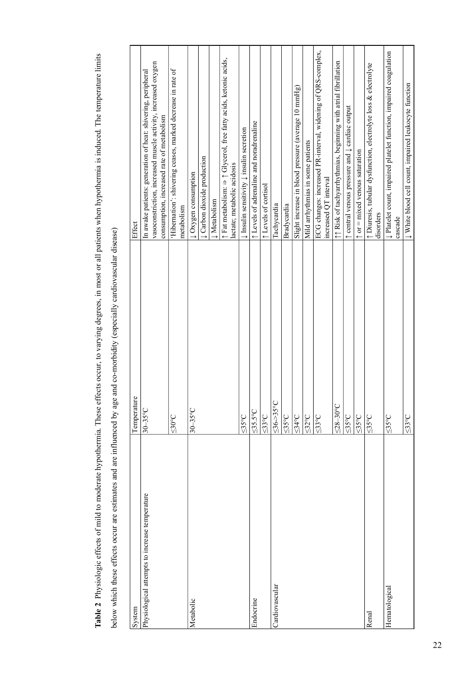Table 2 Physiologic effects of mild to moderate hypothermia. These effects occur, to varying degrees, in most or all patients when hypothermia is induced. The temperature limits **Table 2** Physiologic effects of mild to moderate hypothermia. These effects occur, to varying degrees, in most or all patients when hypothermia is induced. The temperature limits below which these effects occur are estimates and are influenced by age and co-morbidity (especially cardiovascular disease) below which these effects occur are estimates and are influenced by age and co-morbidity (especially cardiovascular disease)

| System                                         | Temperature         | Effect                                                                                                                                                                     |
|------------------------------------------------|---------------------|----------------------------------------------------------------------------------------------------------------------------------------------------------------------------|
| Physiological attempts to increase temperature | $30-35$ °C          | vasoconstriction, increased muscle activity, increased oxygen<br>In awake patients: generation of heat: shivering, peripheral<br>consumption, increased rate of metabolism |
|                                                | $\leq 30^{\circ}$ C | 'Hibernation': shivering ceases, marked decrease in rate of<br>metabolism                                                                                                  |
| Metabolic                                      | $30-35$ °C          | Carbon dioxide production<br>Oxygen consumption                                                                                                                            |
|                                                |                     | Fat metabolism: $\Rightarrow$ $\uparrow$ Glycerol, free fatty acids, ketonic acids,<br>lactate; metabolic acidosis<br>Metabolism                                           |
|                                                | $\leq 35^{\circ}C$  | $\downarrow$ Insulin sensitivity $\downarrow$ insulin secretion                                                                                                            |
| Endocrine                                      | $\leq$ 35.5°C       | ↑ Levels of adrenaline and noradrenaline                                                                                                                                   |
|                                                | $\leq 33^{\circ}$ C | t Levels of cortisol                                                                                                                                                       |
| Cardiovascular                                 | 5°55°               | Tachycardia                                                                                                                                                                |
|                                                | $\leq 35^{\circ}C$  | Bradycardia                                                                                                                                                                |
|                                                | $\leq 34^{\circ}$ C | Slight increase in blood pressure (average 10 mmHg)                                                                                                                        |
|                                                | $\leq 32^{\circ}$ C | Mild arrhythmias in some patients                                                                                                                                          |
|                                                | $\leq 33^{\circ}$ C | ECG changes: increased PR-interval, widening of QRS-complex,<br>increased QT interval                                                                                      |
|                                                | $\leq 28-30$ °C     | 11 Risk of tachyarrhythmias, beginning with atrial fibrillation                                                                                                            |
|                                                | $\leq 35^{\circ}C$  | ↑ central venous pressure and ↓ cardiac output                                                                                                                             |
|                                                | 5°C                 | $or = mixed$ venous saturation                                                                                                                                             |
| Renal                                          | $ S35^{\circ}C$     | 1 Diuresis, tubular dysfunction, electrolyte loss & electrolyte<br>disorders                                                                                               |
| Hematological                                  | $\leq$ 5°C          | ↓ Platelet count, impaired platelet function, impaired coagulation<br>cascade                                                                                              |
|                                                | $\leq 33^{\circ}$ C | ↓ White blood cell count, impaired leukocyte function                                                                                                                      |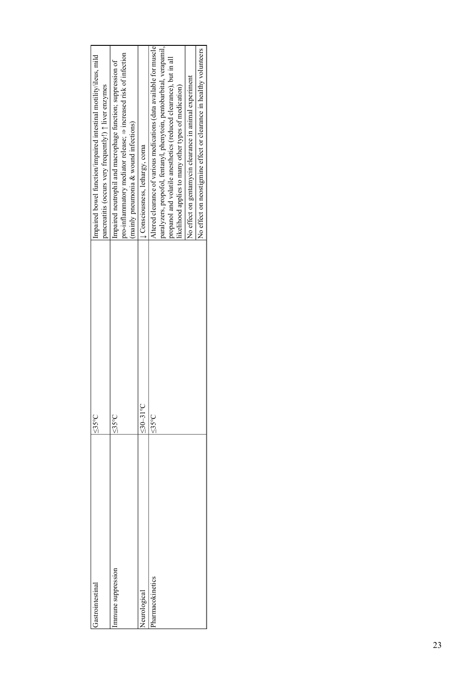| Gastrointestinal  | $\leq 35^{\circ}$ C | Impaired bowel function/impaired intestinal motility/ileus, mild             |
|-------------------|---------------------|------------------------------------------------------------------------------|
|                   |                     | pancreatitis (occurs very frequently!) $\uparrow$ liver enzymes              |
| mmune suppression | $-35^{\circ}$ C     | impaired neutrophil and macrophage function; suppression of                  |
|                   |                     | pro-inflammatory mediator release; $\Rightarrow$ increased risk of infection |
|                   |                     | (mainly pneumonia & wound infections)                                        |
| Veurological      | 2°1°C               | Consciousness, lethargy, coma                                                |
| harmacokinetics   | $5^{\circ}C$        | Altered clearance of various medications (data available for muscle          |
|                   |                     | paralyzers, propofol, fentanyl, phenytoin, pentobarbital, verapamil,         |
|                   |                     | propanol and volatile anesthetics (reduced clearance), but in all            |
|                   |                     | likelihood applies to many other types of medication)                        |
|                   |                     | No effect on gentamycin clearance in animal experiment                       |
|                   |                     | No effect on neostigmine effect or clearance in healthy volunteers           |
|                   |                     |                                                                              |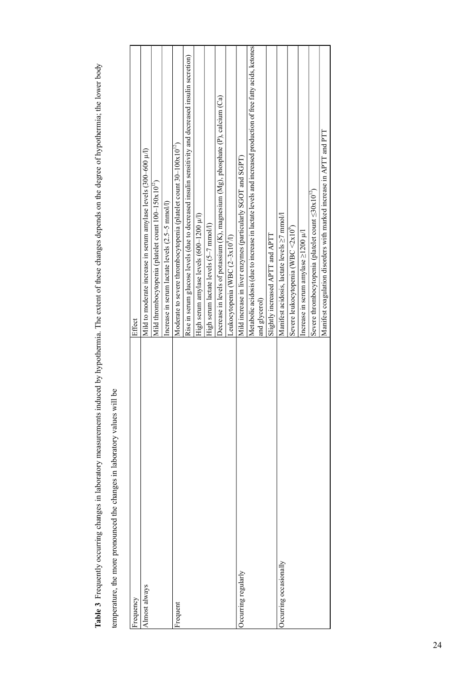Table 3 Frequently occurring changes in laboratory measurements induced by hypothermia. The extent of these changes depends on the degree of hypothermia; the lower body **Table 3** Frequently occurring changes in laboratory measurements induced by hypothermia. The extent of these changes depends on the degree of hypothermia; the lower body

| Frequency              | Effect                                                                                                      |
|------------------------|-------------------------------------------------------------------------------------------------------------|
| Almost always          | Mild to moderate increase in serum amylase levels $(300-600 \mu/l)$                                         |
|                        | Mild thrombocytopenia (platelet count 100-150x10 <sup>12</sup> )                                            |
|                        | Increase in serum lactate levels $(2.5-5 \text{ mmol/l})$                                                   |
| $F$ requent            | Moderate to severe thrombocytopenia (platelet count 30-100x10 <sup>12</sup> )                               |
|                        | Rise in serum glucose levels (due to decreased insulin sensitivity and decreased insulin secretion)         |
|                        | High serum amylase levels (600–1200 µ/l)                                                                    |
|                        | High serum lactate levels (5-7 mmol/l)                                                                      |
|                        | Decrease in levels of potassium (K), magnesium (Mg), phosphate (P), calcium (Ca)                            |
|                        | Leukocytopenia (WBC (2-3x10 <sup>9</sup> /1)                                                                |
| Occurring regularly    | Mild increase in liver enzymes (particularly SGOT and SGPT)                                                 |
|                        | Metabolic acidosis (due to increase in lactate levels and increased production of free fatty acids, ketones |
|                        | and glycerol)                                                                                               |
|                        | Slightly increased APTT and APTT                                                                            |
| Occurring occasionally | Manifest acidosis, lactate levels ≥7 mmol/l                                                                 |
|                        | Severe leukocytopenia (WBC $\langle 2x10^\circ \rangle$                                                     |
|                        | Increase in serum amylase $\geq$ 1200 $\mu$ /l                                                              |
|                        | Severe thrombocytopenia (platelet count $\leq 30 \times 10^{12}$ )                                          |
|                        | Manifest coagulation disorders with marked increase in APTT and PTT                                         |

temperature, the more pronounced the changes in laboratory values will be temperature, the more pronounced the changes in laboratory values will be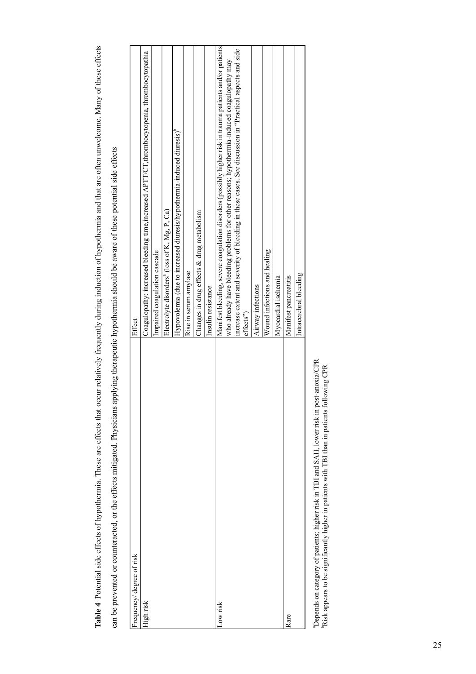Table 4 Potential side effects of hypothermia. These are effects that occur relatively frequently during induction of hypothermia and that are often unwelcome. Many of these effects **Table 4** Potential side effects of hypothermia. These are effects that occur relatively frequently during induction of hypothermia and that are often unwelcome. Many of these effects can be prevented or counteracted, or the effects mitigated. Physicians applying therapeutic hypothermia should be aware of these potential side effects can be prevented or counteracted, or the effects mitigated. Physicians applying therapeutic hypothermia should be aware of these potential side effects

| who already have bleeding problems for other reasons; hypothermia-induced coagulopathy may<br>Hypovolemia (due to increased diuresis/hypothermia-induced diuresis) <sup>8</sup><br>Electrolyte disorders <sup>ª</sup> (loss of K, Mg, P, Ca)<br>Changes in drug effects & drug metabolism<br>Wound infections and healing<br>impaired coagulation cascade<br>Rise in serum amylase<br>intracerebral bleeding<br>Manifest pancreatitis<br>Myocardial ischemia<br>Airway infections<br>insulin resistance<br>effect'<br>High risk<br>ow risk<br><b>Rare</b> | requency/ degree of risk | Effect                                                                                                   |
|-----------------------------------------------------------------------------------------------------------------------------------------------------------------------------------------------------------------------------------------------------------------------------------------------------------------------------------------------------------------------------------------------------------------------------------------------------------------------------------------------------------------------------------------------------------|--------------------------|----------------------------------------------------------------------------------------------------------|
|                                                                                                                                                                                                                                                                                                                                                                                                                                                                                                                                                           |                          | Coagulopathy: increased bleeding time, increased APTT/CT, thrombocytopenia, thrombocytopathia            |
|                                                                                                                                                                                                                                                                                                                                                                                                                                                                                                                                                           |                          |                                                                                                          |
|                                                                                                                                                                                                                                                                                                                                                                                                                                                                                                                                                           |                          |                                                                                                          |
|                                                                                                                                                                                                                                                                                                                                                                                                                                                                                                                                                           |                          |                                                                                                          |
|                                                                                                                                                                                                                                                                                                                                                                                                                                                                                                                                                           |                          |                                                                                                          |
|                                                                                                                                                                                                                                                                                                                                                                                                                                                                                                                                                           |                          |                                                                                                          |
|                                                                                                                                                                                                                                                                                                                                                                                                                                                                                                                                                           |                          |                                                                                                          |
|                                                                                                                                                                                                                                                                                                                                                                                                                                                                                                                                                           |                          | Manifest bleeding, severe coagulation disorders (possibly higher risk in trauma patients and/or patients |
|                                                                                                                                                                                                                                                                                                                                                                                                                                                                                                                                                           |                          |                                                                                                          |
|                                                                                                                                                                                                                                                                                                                                                                                                                                                                                                                                                           |                          | increase extent and severity of bleeding in these cases. See discussion in "Practical aspects and side   |
|                                                                                                                                                                                                                                                                                                                                                                                                                                                                                                                                                           |                          |                                                                                                          |
|                                                                                                                                                                                                                                                                                                                                                                                                                                                                                                                                                           |                          |                                                                                                          |
|                                                                                                                                                                                                                                                                                                                                                                                                                                                                                                                                                           |                          |                                                                                                          |
|                                                                                                                                                                                                                                                                                                                                                                                                                                                                                                                                                           |                          |                                                                                                          |
|                                                                                                                                                                                                                                                                                                                                                                                                                                                                                                                                                           |                          |                                                                                                          |
|                                                                                                                                                                                                                                                                                                                                                                                                                                                                                                                                                           |                          |                                                                                                          |

<sup>a</sup>Depends on category of patients; higher risk in TBI and SAH, lower risk in post-anoxia/CPR <sup>b</sup>Risk appears to be significantly higher in patients with TBI than in patients following CPR aDepends on category of patients; higher risk in TBI and SAH, lower risk in post-anoxia/CPR bRisk appears to be significantly higher in patients with TBI than in patients following CPR